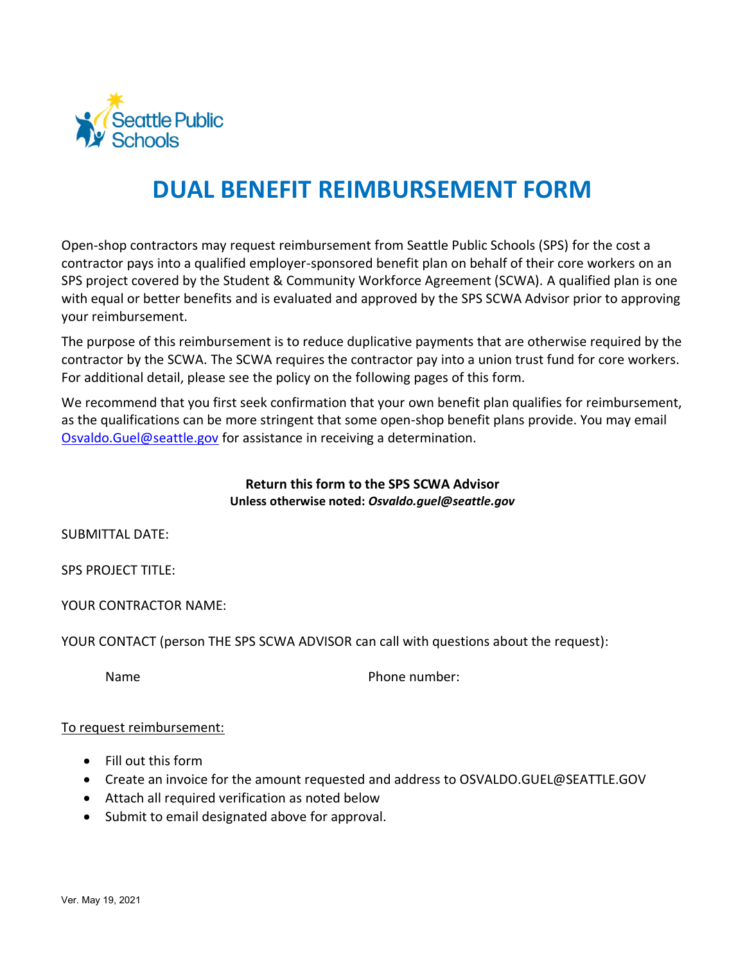

# **DUAL BENEFIT REIMBURSEMENT FORM**

Open-shop contractors may request reimbursement from Seattle Public Schools (SPS) for the cost a contractor pays into a qualified employer-sponsored benefit plan on behalf of their core workers on an SPS project covered by the Student & Community Workforce Agreement (SCWA). A qualified plan is one with equal or better benefits and is evaluated and approved by the SPS SCWA Advisor prior to approving your reimbursement.

The purpose of this reimbursement is to reduce duplicative payments that are otherwise required by the contractor by the SCWA. The SCWA requires the contractor pay into a union trust fund for core workers. For additional detail, please see the policy on the following pages of this form.

We recommend that you first seek confirmation that your own benefit plan qualifies for reimbursement, as the qualifications can be more stringent that some open-shop benefit plans provide. You may email [Osvaldo.Guel@seattle.gov](mailto:Osvaldo.Guel@seattle.gov) for assistance in receiving a determination.

#### **Return this form to the SPS SCWA Advisor Unless otherwise noted:** *Osvaldo.guel@seattle.gov*

SUBMITTAL DATE:

SPS PROJECT TITLE:

YOUR CONTRACTOR NAME:

YOUR CONTACT (person THE SPS SCWA ADVISOR can call with questions about the request):

Name **Name** Phone number:

#### To request reimbursement:

- Fill out this form
- Create an invoice for the amount requested and address to OSVALDO.GUEL@SEATTLE.GOV
- Attach all required verification as noted below
- Submit to email designated above for approval.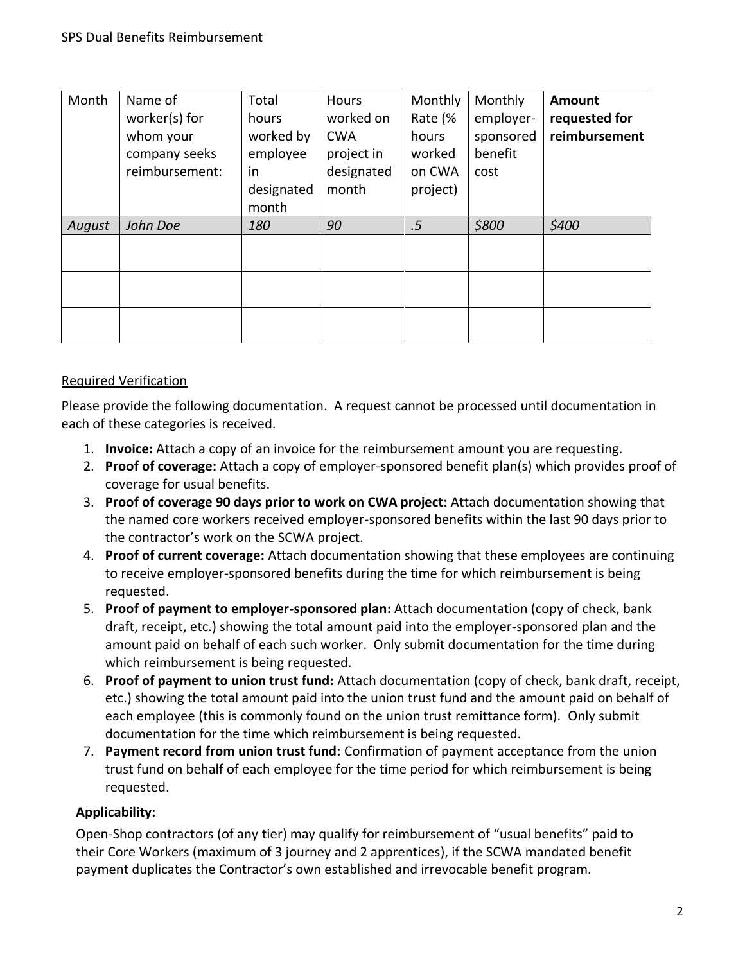| Month  | Name of<br>worker(s) for<br>whom your<br>company seeks<br>reimbursement: | Total<br>hours<br>worked by<br>employee<br>in<br>designated<br>month | Hours<br>worked on<br><b>CWA</b><br>project in<br>designated<br>month | Monthly<br>Rate (%<br>hours<br>worked<br>on CWA<br>project) | Monthly<br>employer-<br>sponsored<br>benefit<br>cost | Amount<br>requested for<br>reimbursement |
|--------|--------------------------------------------------------------------------|----------------------------------------------------------------------|-----------------------------------------------------------------------|-------------------------------------------------------------|------------------------------------------------------|------------------------------------------|
| August | John Doe                                                                 | 180                                                                  | 90                                                                    | .5                                                          | \$800                                                | \$400                                    |
|        |                                                                          |                                                                      |                                                                       |                                                             |                                                      |                                          |
|        |                                                                          |                                                                      |                                                                       |                                                             |                                                      |                                          |
|        |                                                                          |                                                                      |                                                                       |                                                             |                                                      |                                          |

# Required Verification

Please provide the following documentation. A request cannot be processed until documentation in each of these categories is received.

- 1. **Invoice:** Attach a copy of an invoice for the reimbursement amount you are requesting.
- 2. **Proof of coverage:** Attach a copy of employer-sponsored benefit plan(s) which provides proof of coverage for usual benefits.
- 3. **Proof of coverage 90 days prior to work on CWA project:** Attach documentation showing that the named core workers received employer-sponsored benefits within the last 90 days prior to the contractor's work on the SCWA project.
- 4. **Proof of current coverage:** Attach documentation showing that these employees are continuing to receive employer-sponsored benefits during the time for which reimbursement is being requested.
- 5. **Proof of payment to employer-sponsored plan:** Attach documentation (copy of check, bank draft, receipt, etc.) showing the total amount paid into the employer-sponsored plan and the amount paid on behalf of each such worker. Only submit documentation for the time during which reimbursement is being requested.
- 6. **Proof of payment to union trust fund:** Attach documentation (copy of check, bank draft, receipt, etc.) showing the total amount paid into the union trust fund and the amount paid on behalf of each employee (this is commonly found on the union trust remittance form). Only submit documentation for the time which reimbursement is being requested.
- 7. **Payment record from union trust fund:** Confirmation of payment acceptance from the union trust fund on behalf of each employee for the time period for which reimbursement is being requested.

# **Applicability:**

Open-Shop contractors (of any tier) may qualify for reimbursement of "usual benefits" paid to their Core Workers (maximum of 3 journey and 2 apprentices), if the SCWA mandated benefit payment duplicates the Contractor's own established and irrevocable benefit program.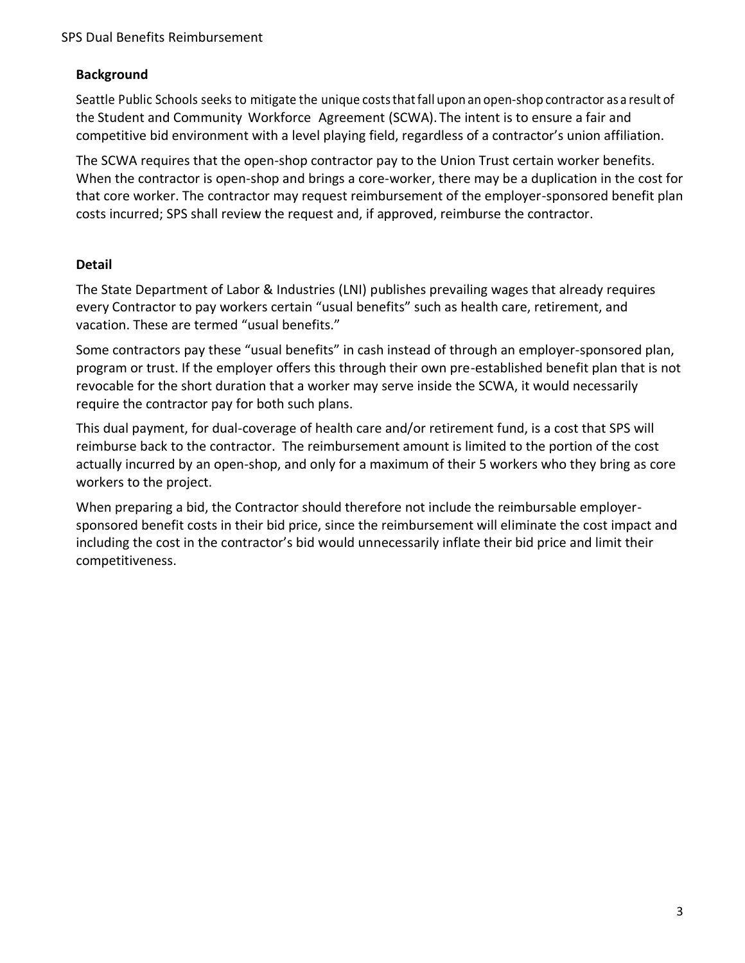### **Background**

Seattle Public Schools seeks to mitigate the unique coststhatfall upon an open-shop contractor as a result of the Student and Community Workforce Agreement (SCWA). The intent is to ensure a fair and competitive bid environment with a level playing field, regardless of a contractor's union affiliation.

The SCWA requires that the open-shop contractor pay to the Union Trust certain worker benefits. When the contractor is open-shop and brings a core-worker, there may be a duplication in the cost for that core worker. The contractor may request reimbursement of the employer-sponsored benefit plan costs incurred; SPS shall review the request and, if approved, reimburse the contractor.

### **Detail**

The State Department of Labor & Industries (LNI) publishes prevailing wages that already requires every Contractor to pay workers certain "usual benefits" such as health care, retirement, and vacation. These are termed "usual benefits."

Some contractors pay these "usual benefits" in cash instead of through an employer-sponsored plan, program or trust. If the employer offers this through their own pre-established benefit plan that is not revocable for the short duration that a worker may serve inside the SCWA, it would necessarily require the contractor pay for both such plans.

This dual payment, for dual-coverage of health care and/or retirement fund, is a cost that SPS will reimburse back to the contractor. The reimbursement amount is limited to the portion of the cost actually incurred by an open-shop, and only for a maximum of their 5 workers who they bring as core workers to the project.

When preparing a bid, the Contractor should therefore not include the reimbursable employersponsored benefit costs in their bid price, since the reimbursement will eliminate the cost impact and including the cost in the contractor's bid would unnecessarily inflate their bid price and limit their competitiveness.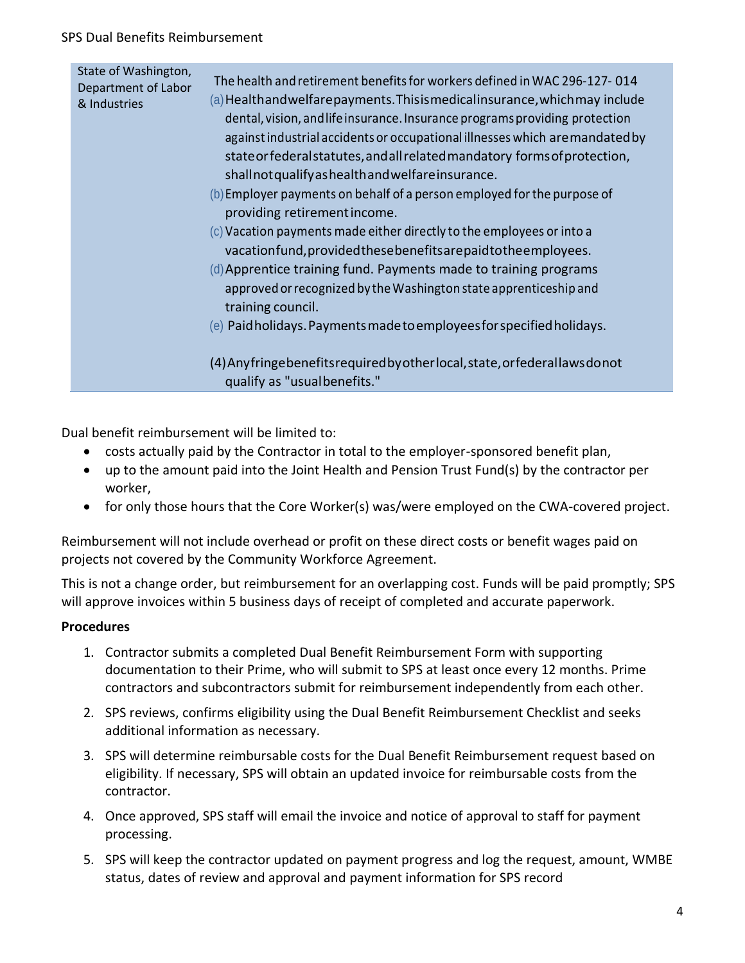| State of Washington,<br>Department of Labor<br>& Industries | The health and retirement benefits for workers defined in WAC 296-127-014<br>(a) Healthand welfare payments. This ismedical insurance, which may include<br>dental, vision, and life insurance. Insurance programs providing protection<br>against industrial accidents or occupational illnesses which are mandated by<br>state or federal statutes, and all related mandatory forms of protection,<br>shall not qualify as health and welf are insurance.<br>(b) Employer payments on behalf of a person employed for the purpose of<br>providing retirement income.<br>$(c)$ Vacation payments made either directly to the employees or into a<br>vacationfund, provided these benefits are paid to the employees.<br>$(d)$ Apprentice training fund. Payments made to training programs<br>approved or recognized by the Washington state apprenticeship and<br>training council.<br>(e) Paid holidays. Payments made to employees for specified holidays. |
|-------------------------------------------------------------|----------------------------------------------------------------------------------------------------------------------------------------------------------------------------------------------------------------------------------------------------------------------------------------------------------------------------------------------------------------------------------------------------------------------------------------------------------------------------------------------------------------------------------------------------------------------------------------------------------------------------------------------------------------------------------------------------------------------------------------------------------------------------------------------------------------------------------------------------------------------------------------------------------------------------------------------------------------|
|                                                             | (4) Any fringe benefits required by other local, state, or federal laws donot                                                                                                                                                                                                                                                                                                                                                                                                                                                                                                                                                                                                                                                                                                                                                                                                                                                                                  |
|                                                             | qualify as "usualbenefits."                                                                                                                                                                                                                                                                                                                                                                                                                                                                                                                                                                                                                                                                                                                                                                                                                                                                                                                                    |

Dual benefit reimbursement will be limited to:

- costs actually paid by the Contractor in total to the employer-sponsored benefit plan,
- up to the amount paid into the Joint Health and Pension Trust Fund(s) by the contractor per worker,
- for only those hours that the Core Worker(s) was/were employed on the CWA-covered project.

Reimbursement will not include overhead or profit on these direct costs or benefit wages paid on projects not covered by the Community Workforce Agreement.

This is not a change order, but reimbursement for an overlapping cost. Funds will be paid promptly; SPS will approve invoices within 5 business days of receipt of completed and accurate paperwork.

#### **Procedures**

- 1. Contractor submits a completed Dual Benefit Reimbursement Form with supporting documentation to their Prime, who will submit to SPS at least once every 12 months. Prime contractors and subcontractors submit for reimbursement independently from each other.
- 2. SPS reviews, confirms eligibility using the Dual Benefit Reimbursement Checklist and seeks additional information as necessary.
- 3. SPS will determine reimbursable costs for the Dual Benefit Reimbursement request based on eligibility. If necessary, SPS will obtain an updated invoice for reimbursable costs from the contractor.
- 4. Once approved, SPS staff will email the invoice and notice of approval to staff for payment processing.
- 5. SPS will keep the contractor updated on payment progress and log the request, amount, WMBE status, dates of review and approval and payment information for SPS record